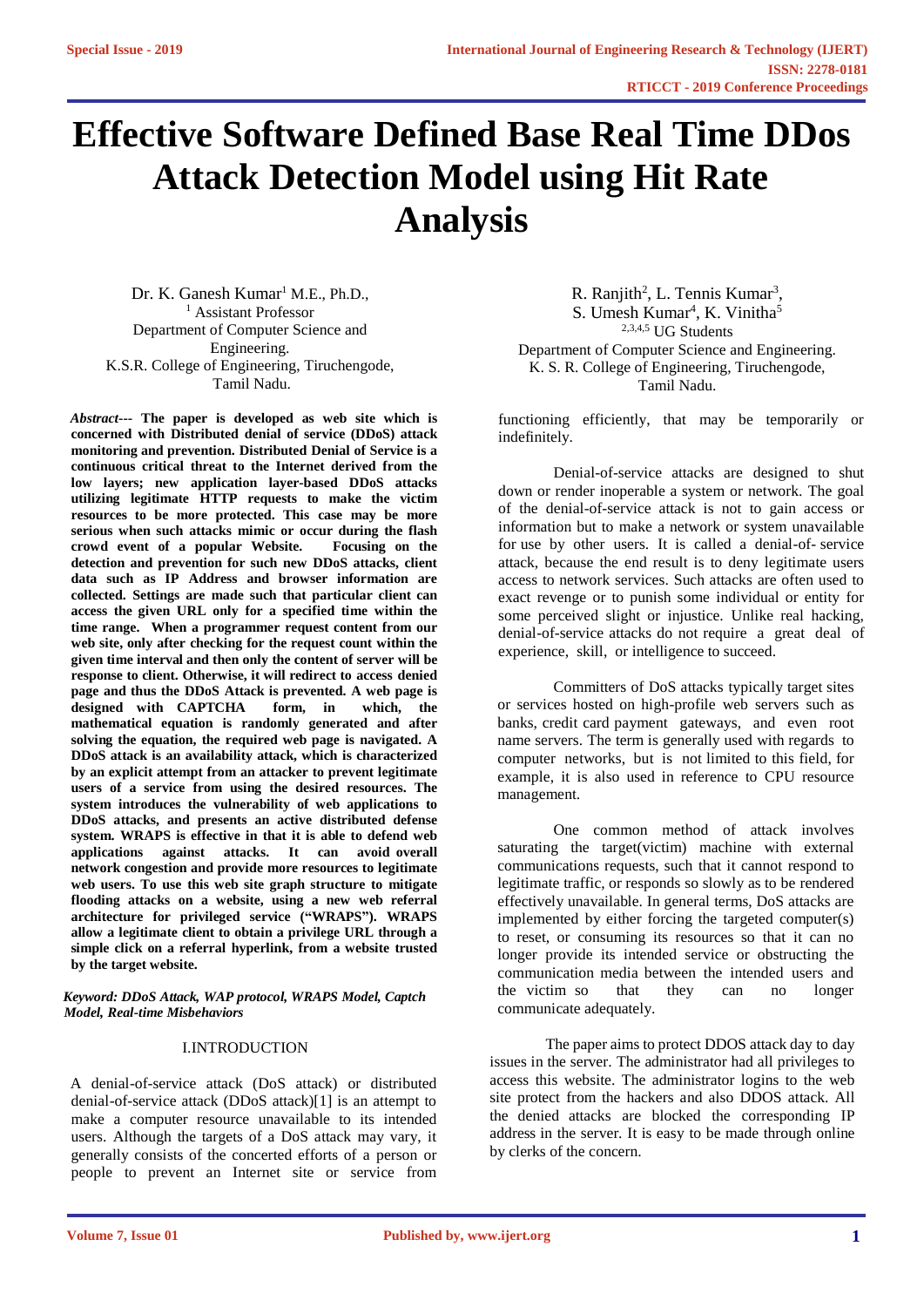# **Effective Software Defined Base Real Time DDos Attack Detection Model using Hit Rate Analysis**

Dr. K. Ganesh Kumar <sup>1</sup> M.E., Ph.D., <sup>1</sup> Assistant Professor Department of Computer Science and Engineering. K.S.R. College of Engineering, Tiruchengode, Tamil Nadu.

*Abstract***--- The paper is developed as web site which is concerned with Distributed denial of service (DDoS) attack monitoring and prevention. Distributed Denial of Service is a continuous critical threat to the Internet derived from the low layers; new application layer-based DDoS attacks utilizing legitimate HTTP requests to make the victim resources to be more protected. This case may be more serious when such attacks mimic or occur during the flash crowd event of a popular Website. Focusing on the detection and prevention for such new DDoS attacks, client data such as IP Address and browser information are collected. Settings are made such that particular client can access the given URL only for a specified time within the time range. When a programmer request content from our web site, only after checking for the request count within the given time interval and then only the content of server will be response to client. Otherwise, it will redirect to access denied page and thus the DDoS Attack is prevented. A web page is designed with CAPTCHA form, in which, the mathematical equation is randomly generated and after solving the equation, the required web page is navigated. A DDoS attack is an availability attack, which is characterized by an explicit attempt from an attacker to prevent legitimate users of a service from using the desired resources. The system introduces the vulnerability of web applications to DDoS attacks, and presents an active distributed defense system. WRAPS is effective in that it is able to defend web applications against attacks. It can avoid overall network congestion and provide more resources to legitimate web users. To use this web site graph structure to mitigate flooding attacks on a website, using a new web referral architecture for privileged service ("WRAPS"). WRAPS allow a legitimate client to obtain a privilege URL through a simple click on a referral hyperlink, from a website trusted by the target website.**

*Keyword: DDoS Attack, WAP protocol, WRAPS Model, Captch Model, Real-time Misbehaviors*

# I.INTRODUCTION

A denial-of-service attack (DoS attack) or distributed denial-of-service attack (DDoS attack)[1] is an attempt to make a computer resource unavailable to its intended users. Although the targets of a DoS attack may vary, it generally consists of the concerted efforts of a person or people to prevent an Internet site or service from

R. Ranjith<sup>2</sup>, L. Tennis Kumar<sup>3</sup>, S. Umesh Kumar<sup>4</sup>, K. Vinitha<sup>5</sup> 2,3,4,5 UG Students Department of Computer Science and Engineering. K. S. R. College of Engineering, Tiruchengode, Tamil Nadu.

functioning efficiently, that may be temporarily or indefinitely.

Denial-of-service attacks are designed to shut down or render inoperable a system or network. The goal of the denial-of-service attack is not to gain access or information but to make a network or system unavailable for use by other users. It is called a denial-of- service attack, because the end result is to deny legitimate users access to network services. Such attacks are often used to exact revenge or to punish some individual or entity for some perceived slight or injustice. Unlike real hacking, denial-of-service attacks do not require a great deal of experience, skill, or intelligence to succeed.

Committers of DoS attacks typically target sites or services hosted on high-profile web servers such as banks, credit card payment gateways, and even root name servers. The term is generally used with regards to computer networks, but is not limited to this field, for example, it is also used in reference to CPU resource management.

One common method of attack involves saturating the target(victim) machine with external communications requests, such that it cannot respond to legitimate traffic, or responds so slowly as to be rendered effectively unavailable. In general terms, DoS attacks are implemented by either forcing the targeted computer(s) to reset, or consuming its resources so that it can no longer provide its intended service or obstructing the communication media between the intended users and the victim so that they can no longer communicate adequately.

The paper aims to protect DDOS attack day to day issues in the server. The administrator had all privileges to access this website. The administrator logins to the web site protect from the hackers and also DDOS attack. All the denied attacks are blocked the corresponding IP address in the server. It is easy to be made through online by clerks of the concern.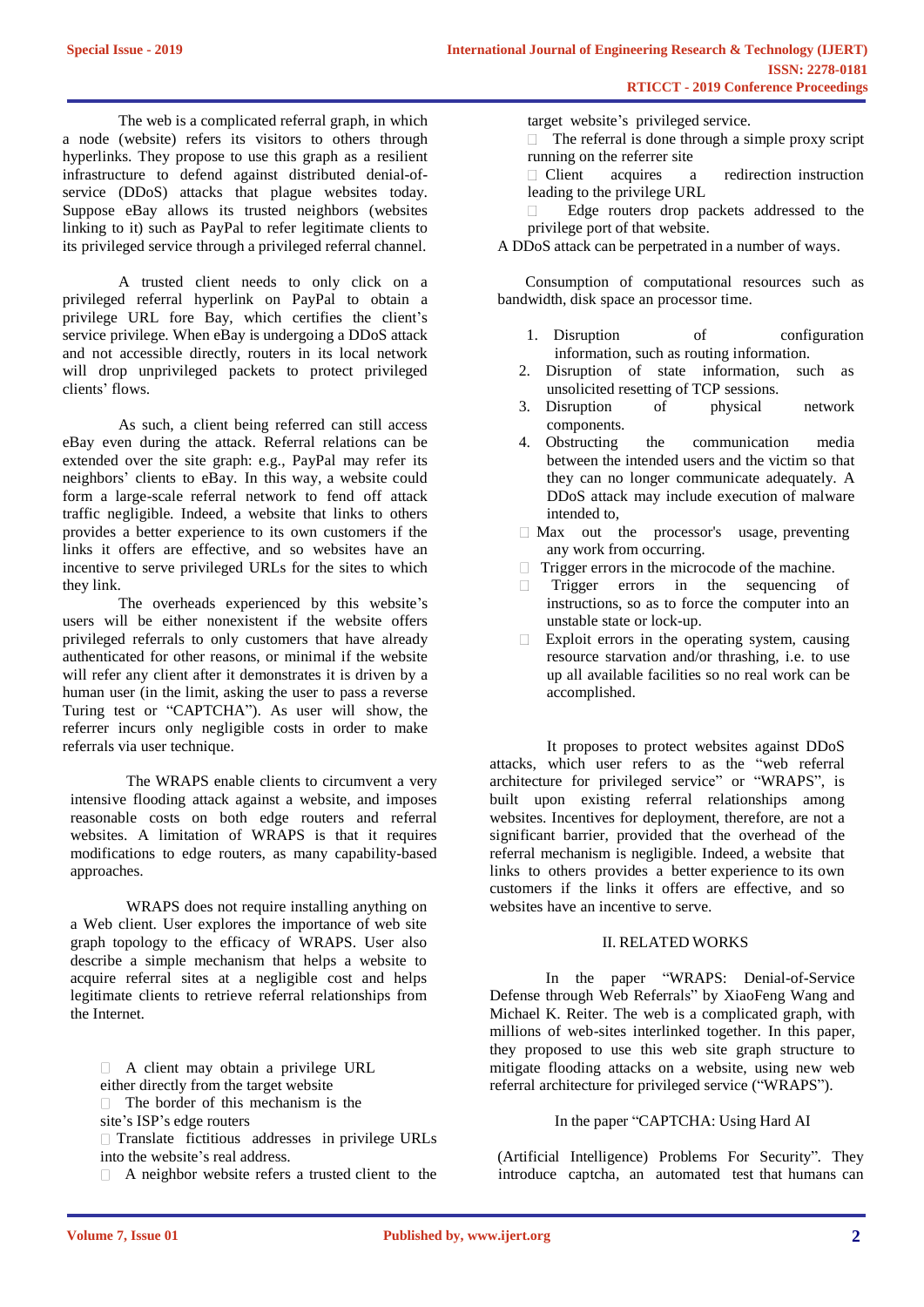The web is a complicated referral graph, in which a node (website) refers its visitors to others through hyperlinks. They propose to use this graph as a resilient infrastructure to defend against distributed denial-ofservice (DDoS) attacks that plague websites today. Suppose eBay allows its trusted neighbors (websites linking to it) such as PayPal to refer legitimate clients to its privileged service through a privileged referral channel.

A trusted client needs to only click on a privileged referral hyperlink on PayPal to obtain a privilege URL fore Bay, which certifies the client's service privilege. When eBay is undergoing a DDoS attack and not accessible directly, routers in its local network will drop unprivileged packets to protect privileged clients' flows.

As such, a client being referred can still access eBay even during the attack. Referral relations can be extended over the site graph: e.g., PayPal may refer its neighbors' clients to eBay. In this way, a website could form a large-scale referral network to fend off attack traffic negligible. Indeed, a website that links to others provides a better experience to its own customers if the links it offers are effective, and so websites have an incentive to serve privileged URLs for the sites to which they link.

The overheads experienced by this website's users will be either nonexistent if the website offers privileged referrals to only customers that have already authenticated for other reasons, or minimal if the website will refer any client after it demonstrates it is driven by a human user (in the limit, asking the user to pass a reverse Turing test or "CAPTCHA"). As user will show, the referrer incurs only negligible costs in order to make referrals via user technique.

The WRAPS enable clients to circumvent a very intensive flooding attack against a website, and imposes reasonable costs on both edge routers and referral websites. A limitation of WRAPS is that it requires modifications to edge routers, as many capability-based approaches.

WRAPS does not require installing anything on a Web client. User explores the importance of web site graph topology to the efficacy of WRAPS. User also describe a simple mechanism that helps a website to acquire referral sites at a negligible cost and helps legitimate clients to retrieve referral relationships from the Internet.

- A client may obtain a privilege URL
- either directly from the target website
- $\Box$  The border of this mechanism is the
- site's ISP's edge routers

 $\Box$  Translate fictitious addresses in privilege URLs into the website's real address.

 $\Box$  A neighbor website refers a trusted client to the

target website's privileged service.

 $\Box$  The referral is done through a simple proxy script running on the referrer site

Client acquires a redirection instruction leading to the privilege URL

Edge routers drop packets addressed to the privilege port of that website.

A DDoS attack can be perpetrated in a number of ways.

Consumption of computational resources such as bandwidth, disk space an [processor](http://en.wikipedia.org/wiki/Central_processing_unit) time.

- 1. Disruption of configuration information, such as routing information.
- 2. Disruption of state information, such as unsolicited resetting of TCP sessions.
- 3. Disruption of physical network components.
- 4. Obstructing the communication media between the intended users and the victim so that they can no longer communicate adequately. A DDoS attack may include execution of malware intended to,
- Max out the processor's usage, preventing any work from occurring.
- Trigger errors in the microcode of the machine.  $\Box$
- Trigger errors in the sequencing of instructions, so as to force the computer into an unstable state or lock-up.
- $\Box$  Exploit errors in the operating system, causing resource starvation and/or thrashing, i.e. to use up all available facilities so no real work can be accomplished.

It proposes to protect websites against DDoS attacks, which user refers to as the "web referral architecture for privileged service" or "WRAPS", is built upon existing referral relationships among websites. Incentives for deployment, therefore, are not a significant barrier, provided that the overhead of the referral mechanism is negligible. Indeed, a website that links to others provides a better experience to its own customers if the links it offers are effective, and so websites have an incentive to serve.

#### II. RELATED WORKS

In the paper "WRAPS: Denial-of-Service Defense through Web Referrals" by XiaoFeng Wang and Michael K. Reiter. The web is a complicated graph, with millions of web-sites interlinked together. In this paper, they proposed to use this web site graph structure to mitigate flooding attacks on a website, using new web referral architecture for privileged service ("WRAPS").

## In the paper "CAPTCHA: Using Hard AI

(Artificial Intelligence) Problems For Security". They introduce captcha, an automated test that humans can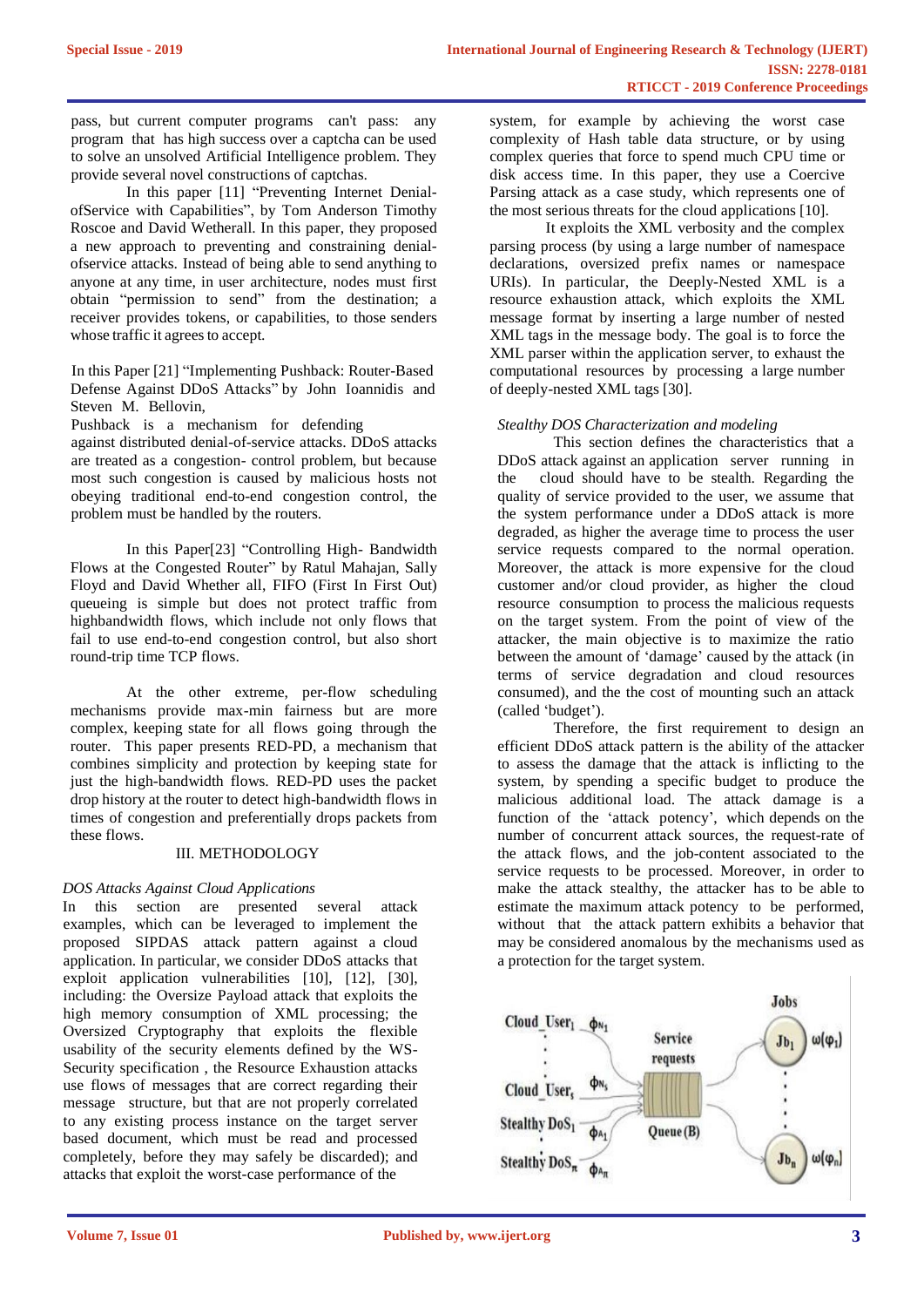pass, but current computer programs can't pass: any program that has high success over a captcha can be used to solve an unsolved Artificial Intelligence problem. They provide several novel constructions of captchas.

In this paper [11] "Preventing Internet DenialofService with Capabilities", by Tom Anderson Timothy Roscoe and David Wetherall. In this paper, they proposed a new approach to preventing and constraining denialofservice attacks. Instead of being able to send anything to anyone at any time, in user architecture, nodes must first obtain "permission to send" from the destination; a receiver provides tokens, or capabilities, to those senders whose traffic it agrees to accept.

In this Paper [21] "Implementing Pushback: Router-Based Defense Against DDoS Attacks" by John Ioannidis and Steven M. Bellovin,

Pushback is a mechanism for defending

against distributed denial-of-service attacks. DDoS attacks are treated as a congestion- control problem, but because most such congestion is caused by malicious hosts not obeying traditional end-to-end congestion control, the problem must be handled by the routers.

In this Paper[23] "Controlling High- Bandwidth Flows at the Congested Router" by Ratul Mahajan, Sally Floyd and David Whether all, FIFO (First In First Out) queueing is simple but does not protect traffic from highbandwidth flows, which include not only flows that fail to use end-to-end congestion control, but also short round-trip time TCP flows.

At the other extreme, per-flow scheduling mechanisms provide max-min fairness but are more complex, keeping state for all flows going through the router. This paper presents RED-PD, a mechanism that combines simplicity and protection by keeping state for just the high-bandwidth flows. RED-PD uses the packet drop history at the router to detect high-bandwidth flows in times of congestion and preferentially drops packets from these flows.

## III. METHODOLOGY

#### *DOS Attacks Against Cloud Applications*

In this section are presented several attack examples, which can be leveraged to implement the proposed SIPDAS attack pattern against a cloud application. In particular, we consider DDoS attacks that exploit application vulnerabilities [10], [12], [30], including: the Oversize Payload attack that exploits the high memory consumption of XML processing; the Oversized Cryptography that exploits the flexible usability of the security elements defined by the WS-Security specification , the Resource Exhaustion attacks use flows of messages that are correct regarding their message structure, but that are not properly correlated to any existing process instance on the target server based document, which must be read and processed completely, before they may safely be discarded); and attacks that exploit the worst-case performance of the

system, for example by achieving the worst case complexity of Hash table data structure, or by using complex queries that force to spend much CPU time or disk access time. In this paper, they use a Coercive Parsing attack as a case study, which represents one of the most serious threats for the cloud applications [10].

It exploits the XML verbosity and the complex parsing process (by using a large number of namespace declarations, oversized prefix names or namespace URIs). In particular, the Deeply-Nested XML is a resource exhaustion attack, which exploits the XML message format by inserting a large number of nested XML tags in the message body. The goal is to force the XML parser within the application server, to exhaust the computational resources by processing a large number of deeply-nested XML tags [30].

#### *Stealthy DOS Characterization and modeling*

This section defines the characteristics that a DDoS attack against an application server running in the cloud should have to be stealth. Regarding the quality of service provided to the user, we assume that the system performance under a DDoS attack is more degraded, as higher the average time to process the user service requests compared to the normal operation. Moreover, the attack is more expensive for the cloud customer and/or cloud provider, as higher the cloud resource consumption to process the malicious requests on the target system. From the point of view of the attacker, the main objective is to maximize the ratio between the amount of 'damage' caused by the attack (in terms of service degradation and cloud resources consumed), and the the cost of mounting such an attack (called 'budget').

Therefore, the first requirement to design an efficient DDoS attack pattern is the ability of the attacker to assess the damage that the attack is inflicting to the system, by spending a specific budget to produce the malicious additional load. The attack damage is a function of the 'attack potency', which depends on the number of concurrent attack sources, the request-rate of the attack flows, and the job-content associated to the service requests to be processed. Moreover, in order to make the attack stealthy, the attacker has to be able to estimate the maximum attack potency to be performed, without that the attack pattern exhibits a behavior that may be considered anomalous by the mechanisms used as a protection for the target system.

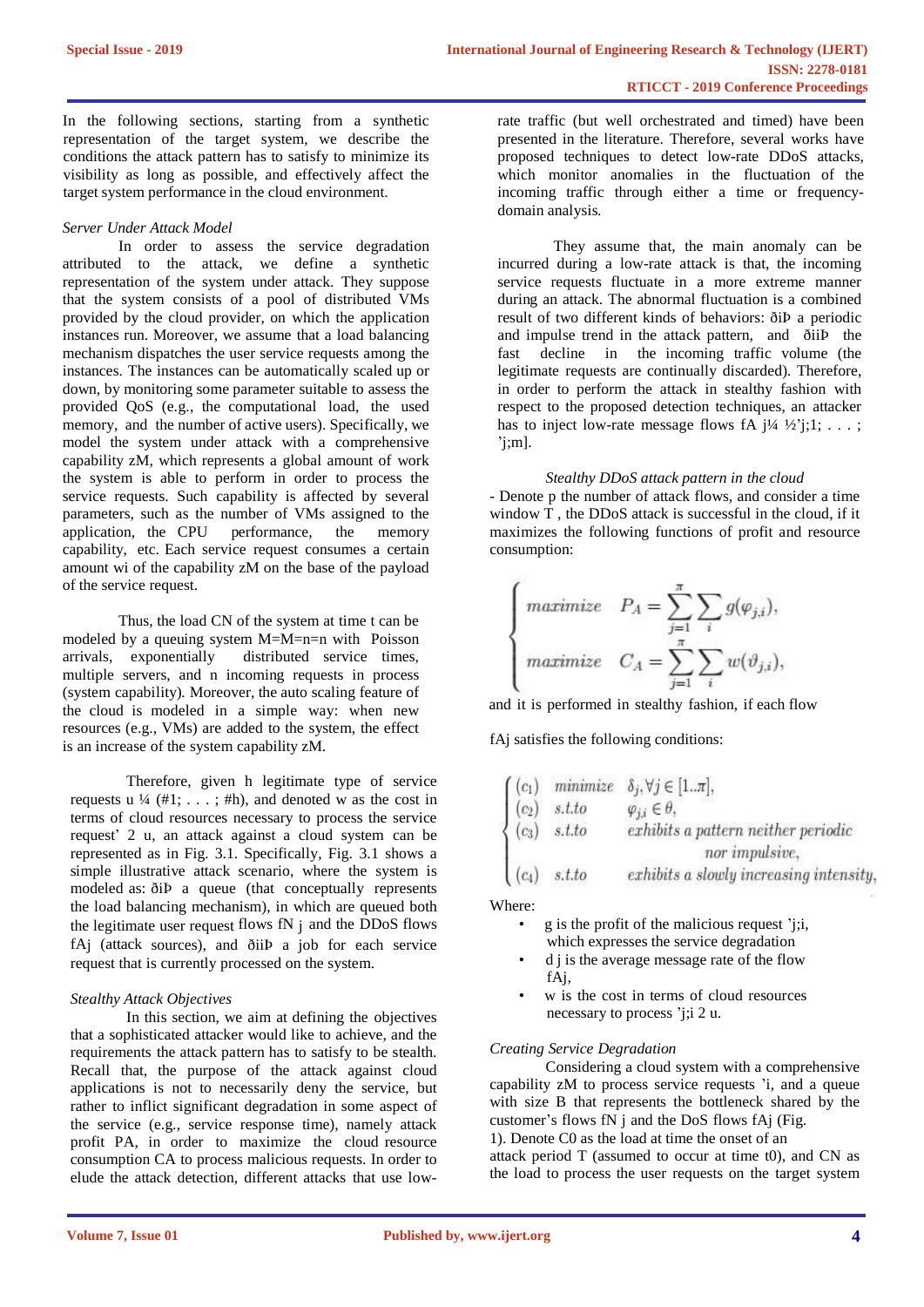In the following sections, starting from a synthetic representation of the target system, we describe the conditions the attack pattern has to satisfy to minimize its visibility as long as possible, and effectively affect the target system performance in the cloud environment.

#### *Server Under Attack Model*

In order to assess the service degradation attributed to the attack, we define a synthetic representation of the system under attack. They suppose that the system consists of a pool of distributed VMs provided by the cloud provider, on which the application instances run. Moreover, we assume that a load balancing mechanism dispatches the user service requests among the instances. The instances can be automatically scaled up or down, by monitoring some parameter suitable to assess the provided QoS (e.g., the computational load, the used memory, and the number of active users). Specifically, we model the system under attack with a comprehensive capability zM, which represents a global amount of work the system is able to perform in order to process the service requests. Such capability is affected by several parameters, such as the number of VMs assigned to the application, the CPU performance, the memory capability, etc. Each service request consumes a certain amount wi of the capability zM on the base of the payload of the service request.

Thus, the load CN of the system at time t can be modeled by a queuing system M=M=n=n with Poisson arrivals, exponentially distributed service times, multiple servers, and n incoming requests in process (system capability). Moreover, the auto scaling feature of the cloud is modeled in a simple way: when new resources (e.g., VMs) are added to the system, the effect is an increase of the system capability zM.

Therefore, given h legitimate type of service requests u  $\frac{1}{4}$  (#1; ...; #h), and denoted w as the cost in terms of cloud resources necessary to process the service request' 2 u, an attack against a cloud system can be represented as in Fig. 3.1. Specifically, Fig. 3.1 shows a simple illustrative attack scenario, where the system is modeled as: ðiÞ a queue (that conceptually represents the load balancing mechanism), in which are queued both the legitimate user request flows  $fN$  j and the DDoS flows fAj (attack sources), and ðiiÞ a job for each service request that is currently processed on the system.

#### *Stealthy Attack Objectives*

In this section, we aim at defining the objectives that a sophisticated attacker would like to achieve, and the requirements the attack pattern has to satisfy to be stealth. Recall that, the purpose of the attack against cloud applications is not to necessarily deny the service, but rather to inflict significant degradation in some aspect of the service (e.g., service response time), namely attack profit PA, in order to maximize the cloud resource consumption CA to process malicious requests. In order to elude the attack detection, different attacks that use lowrate traffic (but well orchestrated and timed) have been presented in the literature. Therefore, several works have proposed techniques to detect low-rate DDoS attacks, which monitor anomalies in the fluctuation of the incoming traffic through either a time or frequencydomain analysis.

They assume that, the main anomaly can be incurred during a low-rate attack is that, the incoming service requests fluctuate in a more extreme manner during an attack. The abnormal fluctuation is a combined result of two different kinds of behaviors: ðiÞ a periodic and impulse trend in the attack pattern, and ðiiÞ the fast decline in the incoming traffic volume (the legitimate requests are continually discarded). Therefore, in order to perform the attack in stealthy fashion with respect to the proposed detection techniques, an attacker has to inject low-rate message flows fA  $i^{1/4}$   $i^{1/2}$ ; : . . .;  $^{\prime}$ j;m].

#### *Stealthy DDoS attack pattern in the cloud*

- Denote p the number of attack flows, and consider a time window T , the DDoS attack is successful in the cloud, if it maximizes the following functions of profit and resource consumption:

$$
\label{eq:1} \left\{ \begin{aligned} \textit{maximize} \quad & P_A = \sum_{j=1}^{\pi} \sum_i g(\varphi_{j,i}), \\ \textit{maximize} \quad & C_A = \sum_{j=1}^{\pi} \sum_i w(\vartheta_{j,i}), \end{aligned} \right.
$$

and it is performed in stealthy fashion, if each flow

fAj satisfies the following conditions:

|  |         |                               | $\left( \begin{array}{cc} (c_1) & \text{minimize} & \delta_j, \forall j \in [1\pi], \end{array} \right)$ |
|--|---------|-------------------------------|----------------------------------------------------------------------------------------------------------|
|  | $(c_2)$ | s.t.to                        | $\varphi_{i,i} \in \theta$ ,                                                                             |
|  |         | $\langle (c_3) \quad s.t. to$ | exhibits a pattern neither periodic                                                                      |
|  |         |                               | nor impulsive,                                                                                           |
|  |         | $(c_4)$ s.t.to                | exhibits a slowly increasing intensity.                                                                  |

Where:

 $g$  is the profit of the malicious request 'j;i, which expresses the service degradation

- d j is the average message rate of the flow fAj,
- w is the cost in terms of cloud resources necessary to process 'j;i 2 u.

#### *Creating Service Degradation*

Considering a cloud system with a comprehensive capability zM to process service requests 'i, and a queue with size B that represents the bottleneck shared by the customer's flows fN j and the DoS flows fAj (Fig. 1). Denote C0 as the load at time the onset of an attack period T (assumed to occur at time t0), and CN as the load to process the user requests on the target system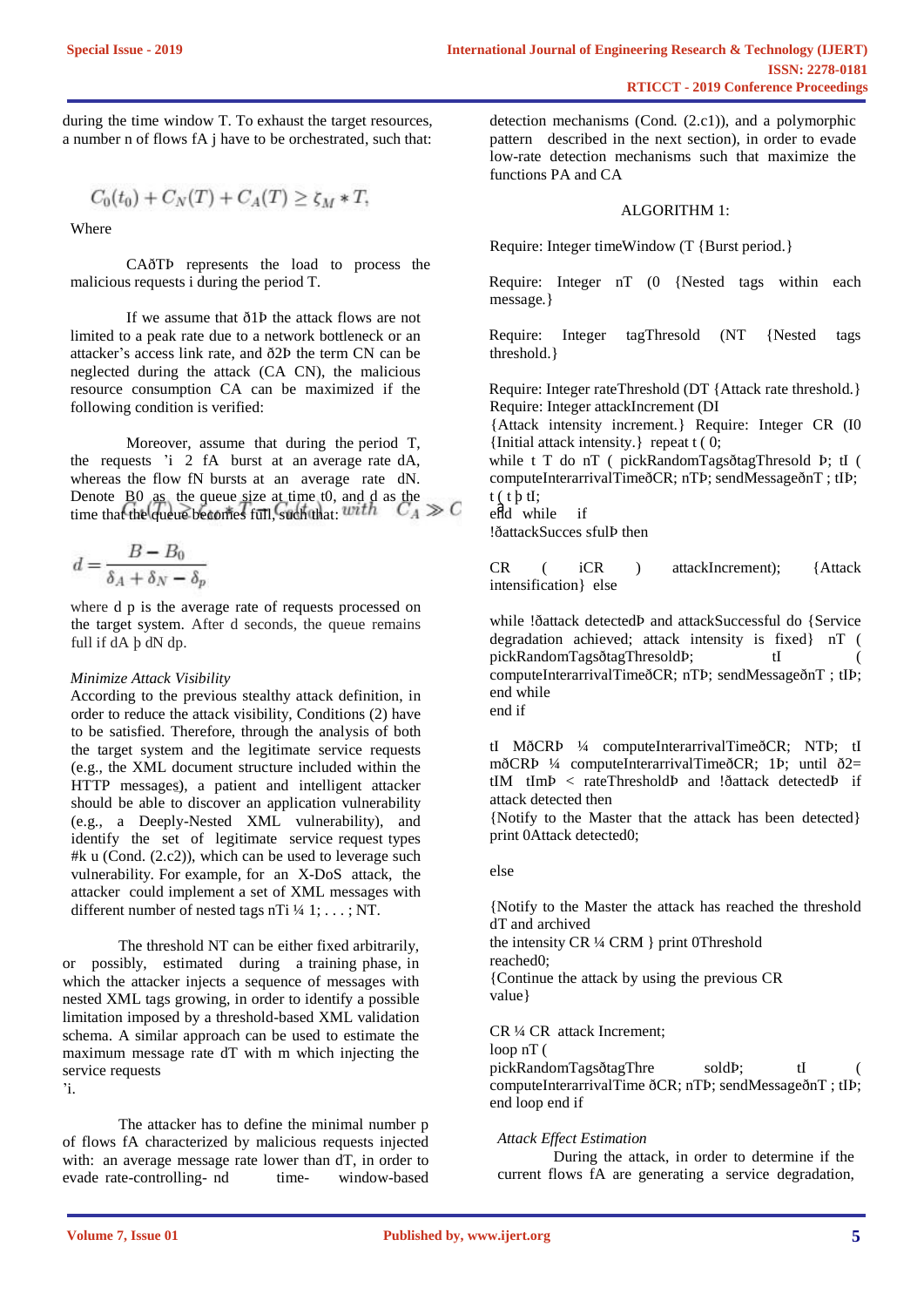during the time window T. To exhaust the target resources, a number n of flows fA j have to be orchestrated, such that:

$$
C_0(t_0) + C_N(T) + C_A(T) \ge \zeta_M * T,
$$

Where

CAðTÞ represents the load to process the malicious requests i during the period T.

If we assume that ð1Þ the attack flows are not limited to a peak rate due to a network bottleneck or an attacker's access link rate, and ð2Þ the term CN can be neglected during the attack (CA CN), the malicious resource consumption CA can be maximized if the following condition is verified:

Moreover, assume that during the period T, the requests 'i 2 fA burst at an average rate dA, whereas the flow fN bursts at an average rate dN. Denote B0 as the queue size at time t0, and d as the time that the queue becomes full, such that:

$$
d = \frac{B - B_0}{\delta_A + \delta_N - \delta_p}
$$

where d p is the average rate of requests processed on the target system. After d seconds, the queue remains full if dA þ dN dp.

# *Minimize Attack Visibility*

According to the previous stealthy attack definition, in order to reduce the attack visibility, Conditions (2) have to be satisfied. Therefore, through the analysis of both the target system and the legitimate service requests (e.g., the XML document structure included within the HTTP messages), a patient and intelligent attacker should be able to discover an application vulnerability (e.g., a Deeply-Nested XML vulnerability), and identify the set of legitimate service request types #k u (Cond. (2.c2)), which can be used to leverage such vulnerability. For example, for an X-DoS attack, the attacker could implement a set of XML messages with different number of nested tags nTi  $\frac{1}{4}$  1; ...; NT.

The threshold NT can be either fixed arbitrarily, or possibly, estimated during a training phase, in which the attacker injects a sequence of messages with nested XML tags growing, in order to identify a possible limitation imposed by a threshold-based XML validation schema. A similar approach can be used to estimate the maximum message rate dT with m which injecting the service requests

'i.

The attacker has to define the minimal number p of flows fA characterized by malicious requests injected with: an average message rate lower than dT, in order to evade rate-controlling- nd time- window-based

detection mechanisms (Cond. (2.c1)), and a polymorphic pattern described in the next section), in order to evade low-rate detection mechanisms such that maximize the functions PA and CA

#### ALGORITHM 1:

Require: Integer timeWindow (T {Burst period.}

Require: Integer nT (0 {Nested tags within each message.}

Require: Integer tagThresold (NT {Nested tags threshold.}

Require: Integer rateThreshold (DT {Attack rate threshold.} Require: Integer attackIncrement (DI

{Attack intensity increment.} Require: Integer CR (I0 {Initial attack intensity.} repeat t ( 0;

end while if while t T do nT ( pickRandomTagsðtagThresold Þ; tI ( computeInterarrivalTimeðCR; nTÞ; sendMessageðnT ; tIÞ;  $t$  (  $t$   $\beta$   $t$ I;

!ðattackSucces sfulÞ then

CR ( iCR ) attackIncrement); {Attack intensification} else

while !ðattack detectedÞ and attackSuccessful do {Service degradation achieved; attack intensity is fixed} nT ( pickRandomTagsðtagThresoldÞ; tI computeInterarrivalTimeðCR; nTÞ; sendMessageðnT ; tIÞ; end while end if

tI MðCRÞ ¼ computeInterarrivalTimeðCR; NTÞ; tI mðCRÞ ¼ computeInterarrivalTimeðCR; 1Þ; until ð2= tIM tImÞ < rateThresholdÞ and !ðattack detectedÞ if attack detected then

{Notify to the Master that the attack has been detected} print 0Attack detected0;

## else

{Notify to the Master the attack has reached the threshold dT and archived the intensity CR ¼ CRM } print 0Threshold reached0; {Continue the attack by using the previous CR value}

CR ¼ CR attack Increment;

loop nT (

pickRandomTagsðtagThre soldÞ; tI computeInterarrivalTime ðCR; nTÞ; sendMessageðnT ; tIÞ; end loop end if

# *Attack Effect Estimation*

During the attack, in order to determine if the current flows fA are generating a service degradation,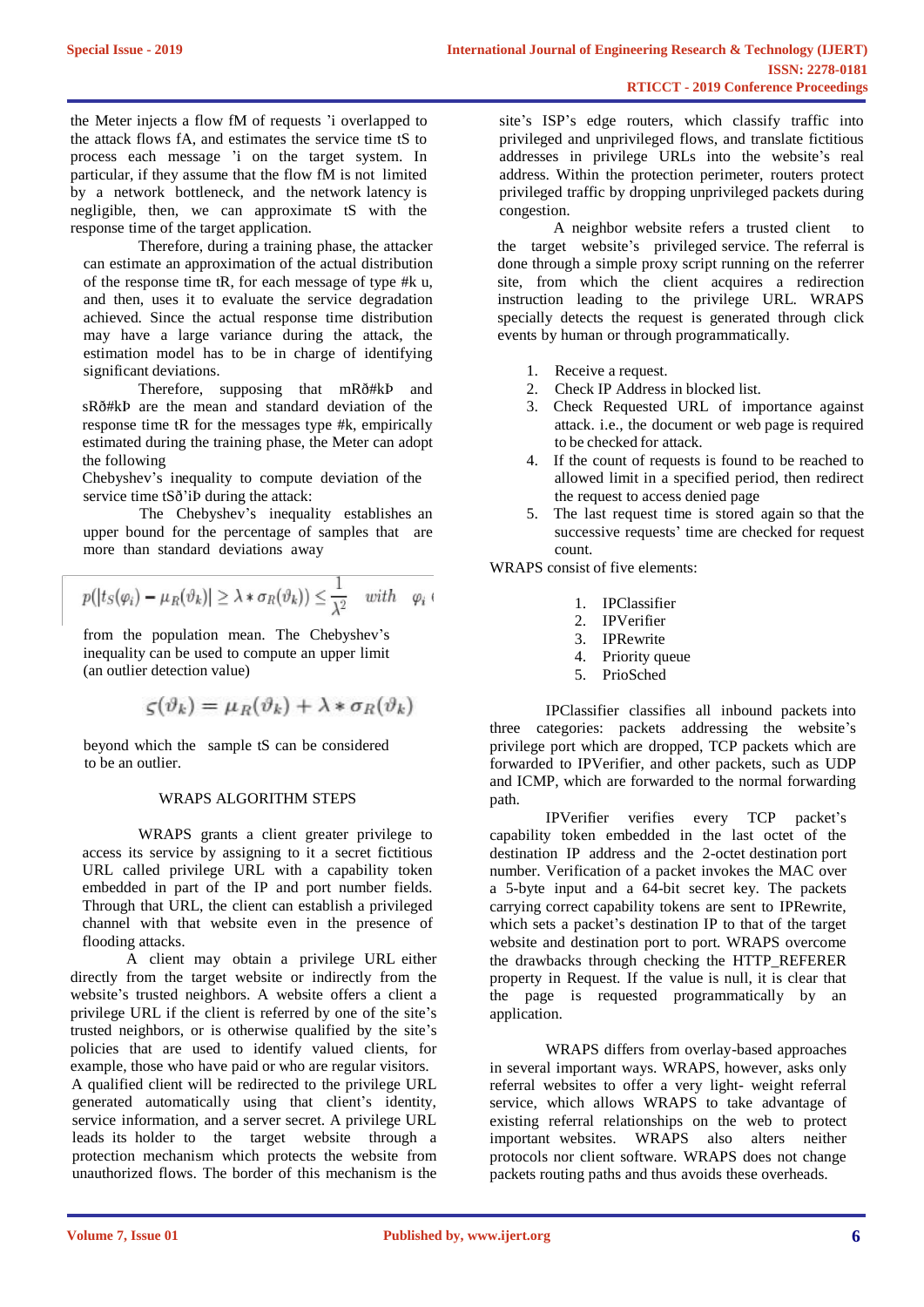the Meter injects a flow fM of requests 'i overlapped to the attack flows fA, and estimates the service time tS to process each message 'i on the target system. In particular, if they assume that the flow fM is not limited by a network bottleneck, and the network latency is negligible, then, we can approximate tS with the response time of the target application.

Therefore, during a training phase, the attacker can estimate an approximation of the actual distribution of the response time tR, for each message of type #k u, and then, uses it to evaluate the service degradation achieved. Since the actual response time distribution may have a large variance during the attack, the estimation model has to be in charge of identifying significant deviations.

Therefore, supposing that mRð#kÞ and sRð#kÞ are the mean and standard deviation of the response time tR for the messages type #k, empirically estimated during the training phase, the Meter can adopt the following

Chebyshev's inequality to compute deviation of the service time tSð'iÞ during the attack:

The Chebyshev's inequality establishes an upper bound for the percentage of samples that are more than standard deviations away

$$
p(|t_S(\varphi_i) - \mu_R(\vartheta_k)| \geq \lambda * \sigma_R(\vartheta_k)) \leq \frac{1}{\lambda^2} \quad with \quad \varphi_i \in
$$

from the population mean. The Chebyshev's inequality can be used to compute an upper limit (an outlier detection value)

$$
\varsigma(\vartheta_k) = \mu_R(\vartheta_k) + \lambda * \sigma_R(\vartheta_k)
$$

beyond which the sample tS can be considered to be an outlier.

## WRAPS ALGORITHM STEPS

WRAPS grants a client greater privilege to access its service by assigning to it a secret fictitious URL called privilege URL with a capability token embedded in part of the IP and port number fields. Through that URL, the client can establish a privileged channel with that website even in the presence of flooding attacks.

A client may obtain a privilege URL either directly from the target website or indirectly from the website's trusted neighbors. A website offers a client a privilege URL if the client is referred by one of the site's trusted neighbors, or is otherwise qualified by the site's policies that are used to identify valued clients, for example, those who have paid or who are regular visitors.

A qualified client will be redirected to the privilege URL generated automatically using that client's identity, service information, and a server secret. A privilege URL leads its holder to the target website through a protection mechanism which protects the website from unauthorized flows. The border of this mechanism is the

site's ISP's edge routers, which classify traffic into privileged and unprivileged flows, and translate fictitious addresses in privilege URLs into the website's real address. Within the protection perimeter, routers protect privileged traffic by dropping unprivileged packets during congestion.

A neighbor website refers a trusted client to the target website's privileged service. The referral is done through a simple proxy script running on the referrer site, from which the client acquires a redirection instruction leading to the privilege URL. WRAPS specially detects the request is generated through click events by human or through programmatically.

- 1. Receive a request.
- 2. Check IP Address in blocked list.
- 3. Check Requested URL of importance against attack. i.e., the document or web page is required to be checked for attack.
- 4. If the count of requests is found to be reached to allowed limit in a specified period, then redirect the request to access denied page
- 5. The last request time is stored again so that the successive requests' time are checked for request count.

WRAPS consist of five elements:

- 1. IPClassifier
- 2. IPVerifier
- 3. IPRewrite
- 4. Priority queue
- 5. PrioSched

IPClassifier classifies all inbound packets into three categories: packets addressing the website's privilege port which are dropped, TCP packets which are forwarded to IPVerifier, and other packets, such as UDP and ICMP, which are forwarded to the normal forwarding path.

IPVerifier verifies every TCP packet's capability token embedded in the last octet of the destination IP address and the 2-octet destination port number. Verification of a packet invokes the MAC over a 5-byte input and a 64-bit secret key. The packets carrying correct capability tokens are sent to IPRewrite, which sets a packet's destination IP to that of the target website and destination port to port. WRAPS overcome the drawbacks through checking the HTTP\_REFERER property in Request. If the value is null, it is clear that the page is requested programmatically by an application.

WRAPS differs from overlay-based approaches in several important ways. WRAPS, however, asks only referral websites to offer a very light- weight referral service, which allows WRAPS to take advantage of existing referral relationships on the web to protect important websites. WRAPS also alters neither protocols nor client software. WRAPS does not change packets routing paths and thus avoids these overheads.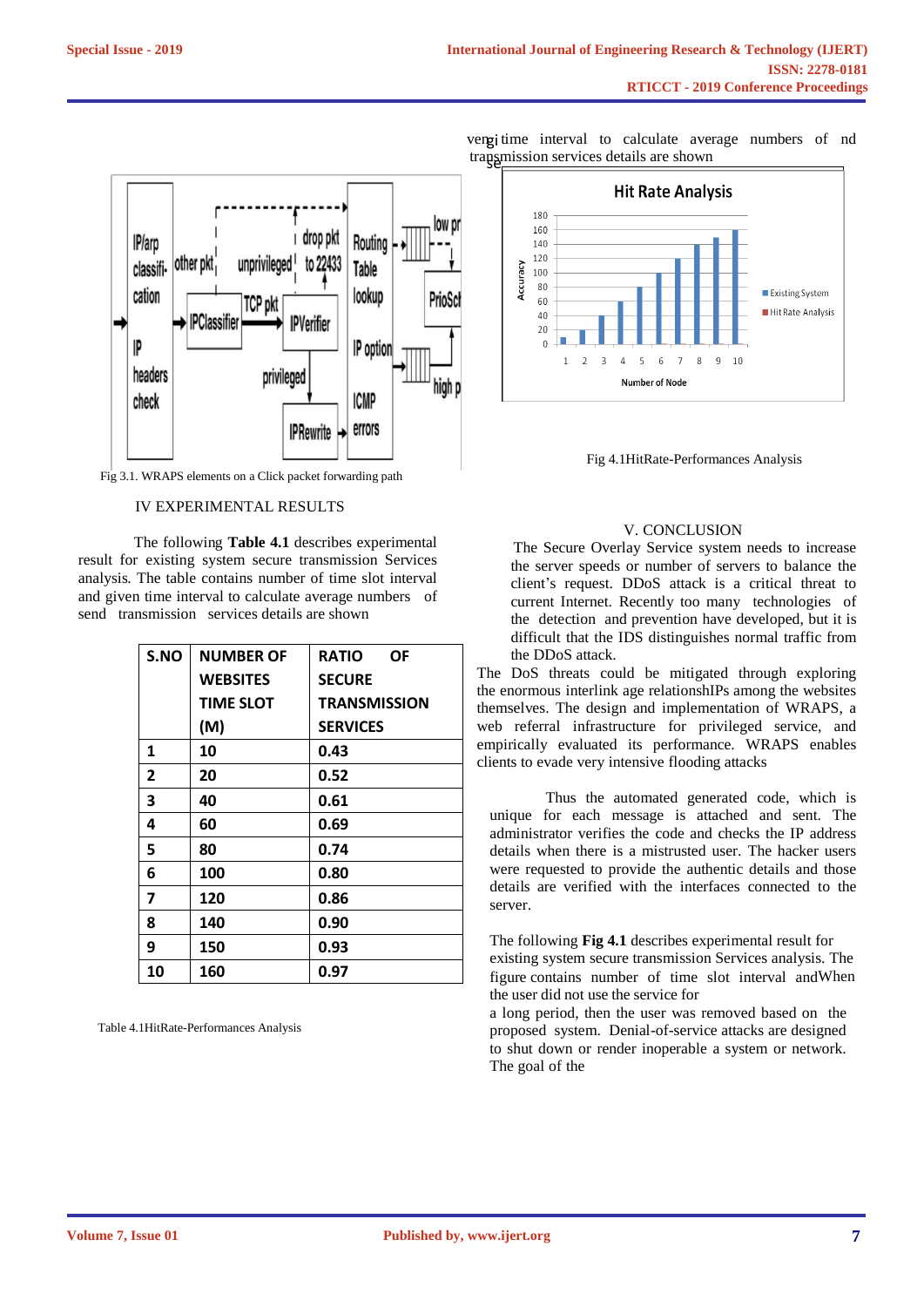

Fig 3.1. WRAPS elements on a Click packet forwarding path

#### IV EXPERIMENTAL RESULTS

The following **Table 4.1** describes experimental result for existing system secure transmission Services analysis. The table contains number of time slot interval and given time interval to calculate average numbers of send transmission services details are shown

| S.NO         | <b>NUMBER OF</b> | <b>RATIO</b><br>OF  |
|--------------|------------------|---------------------|
|              | <b>WEBSITES</b>  | <b>SECURE</b>       |
|              | <b>TIME SLOT</b> | <b>TRANSMISSION</b> |
|              | (M)              | <b>SERVICES</b>     |
| 1            | 10               | 0.43                |
| $\mathbf{2}$ | 20               | 0.52                |
| 3            | 40               | 0.61                |
| 4            | 60               | 0.69                |
| 5            | 80               | 0.74                |
| 6            | 100              | 0.80                |
| 7            | 120              | 0.86                |
| 8            | 140              | 0.90                |
| 9            | 150              | 0.93                |
| 10           | 160              | 0.97                |

Table 4.1HitRate-Performances Analysis

vergi time interval to calculate average numbers of nd transmission services details are shown



Fig 4.1HitRate-Performances Analysis

#### V. CONCLUSION

The Secure Overlay Service system needs to increase the server speeds or number of servers to balance the client's request. DDoS attack is a critical threat to current Internet. Recently too many technologies of the detection and prevention have developed, but it is difficult that the IDS distinguishes normal traffic from the DDoS attack.

The DoS threats could be mitigated through exploring the enormous interlink age relationshIPs among the websites themselves. The design and implementation of WRAPS, a web referral infrastructure for privileged service, and empirically evaluated its performance. WRAPS enables clients to evade very intensive flooding attacks

Thus the automated generated code, which is unique for each message is attached and sent. The administrator verifies the code and checks the IP address details when there is a mistrusted user. The hacker users were requested to provide the authentic details and those details are verified with the interfaces connected to the server.

The following **Fig 4.1** describes experimental result for existing system secure transmission Services analysis. The figure contains number of time slot interval andWhen the user did not use the service for

a long period, then the user was removed based on the proposed system. Denial-of-service attacks are designed to shut down or render inoperable a system or network. The goal of the